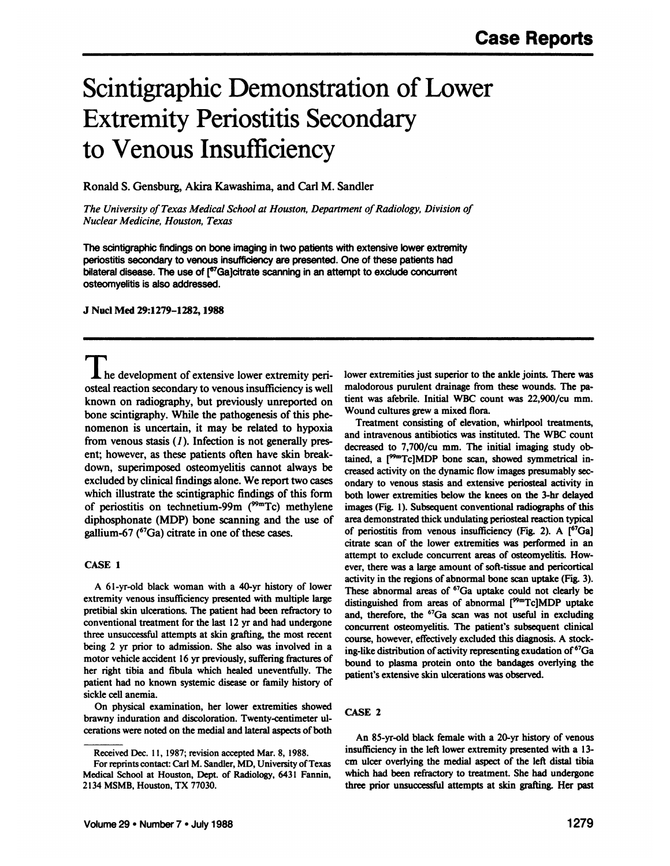# Scintigraphic Demonstration of Lower Extremity Periostitis Secondary to Venous Insufficiency

Ronald S. Gensburg, Akira Kawashima, and Carl M. Sandler

*The University of Texas Medical School at Houston, Department of Radiology, Division of Nuclear Medicine, Houston, Texas*

The scintigraphic findings on bone imaging in two patients with extensive lower extremity periostitis secondary to venous insufficiency are presented. One of these patients had bilateral disease. The use of [<sup>67</sup>Ga]citrate scanning in an attempt to exclude concurrent osteomyelitis is also addressed.

**J NucÃ-Med 29:1279-1282,1988**

**1** he development of extensive lower extremity periosteal reaction secondary to venous insufficiency is well known on radiography, but previously unreported on bone scintigraphy. While the pathogenesis of this phe nomenon is uncertain, it may be related to hypoxia from venous stasis  $(I)$ . Infection is not generally present; however, as these patients often have skin break down, superimposed osteomyelitis cannot always be excluded by clinical findings alone. We report two cases which illustrate the scintigraphic findings of this form of periostitis on technetium-99m ( $99<sup>9m</sup>$ Tc) methylene gallium-67 ( ${}^{67}Ga$ ) citrate in one of these cases.

#### **CASE 1**

extremity venous insufficiency presented with multiple large pretibial skin ulcerations. The patient had been refractory to conventional treatment for the last 12 yr and had undergone three unsuccessful attempts at skin grafting, the most recent being 2 yr prior to admission. She also was involved in a motor vehicle accident 16 yr previously, suffering fractures of her right tibia and fibula which healed uneventfully. The patient had no known systemic disease or family history of sickle cell anemia.

On physical examination, her lower extremities showed brawny induration and discoloration. Twenty-centimeter ul cérationswere noted on the medial and lateral aspects of both lower extremities just superior to the ankle joints. There was malodorous purulent drainage from these wounds. The pa tient was afebrile. Initial WBC count was 22,900/cu mm. Wound cultures grew a mixed flora.

diphosphonate (MDP) bone scanning and the use of area demonstrated thick undulating periosteal reaction typical<br>eallium-67 ( $^{67}$ Ga) citrate in one of these cases of periostitis from venous insufficiency (Fig. 2). A [ $^{6$ A 61-yr-old black woman with a 40-yr history of lower<br>These abnormal areas of  $^{67}Ga$  uptake could not clearly be Treatment consisting of elevation, whirlpool treatments, and intravenous antibiotics was instituted. The WBC count decreased to 7,700/cu mm. The initial imaging study ob tained, a  $[<sup>99m</sup>Tc]MDP$  bone scan, showed symmetrical increased activity on the dynamic flow images presumably sec ondary to venous stasis and extensive periosteal activity in both lower extremities below the knees on the 3-hr delayed images (Fig. 1). Subsequent conventional radiographs of this area demonstrated thick undulating periosteal reaction typical citrate scan of the lower extremities was performed in an attempt to exclude concurrent areas of osteomyelitis. How ever, there was a large amount of soft-tissue and pericortical activity in the regions of abnormal bone scan uptake (Fig. 3). distinguished from areas of abnormal  $[<sup>99m</sup>Tc]MDP$  uptake and, therefore, the <sup>67</sup>Ga scan was not useful in excluding concurrent osteomyelitis. The patient's subsequent clinical course, however, effectively excluded this diagnosis. A stock ing-like distribution of activity representing exudation of <sup>67</sup>Ga bound to plasma protein onto the bandages overlying the patient's extensive skin ulcerations was observed.

### **CASE 2**

An 85-yr-old black female with a 20-yr history of venous insufficiency in the left lower extremity presented with a 13 cm ulcer overlying the medial aspect of the left distal tibia which had been refractory to treatment. She had undergone three prior unsuccessful attempts at skin grafting. Her past

Received Dec. 11, 1987; revision accepted Mar. 8, 1988.

For reprints contact: Carl M. Sandler, MD, University of Texas Medical School at Houston, Dept. of Radiology, 6431 Fannin, 2134 MSMB, Houston, TX 77030.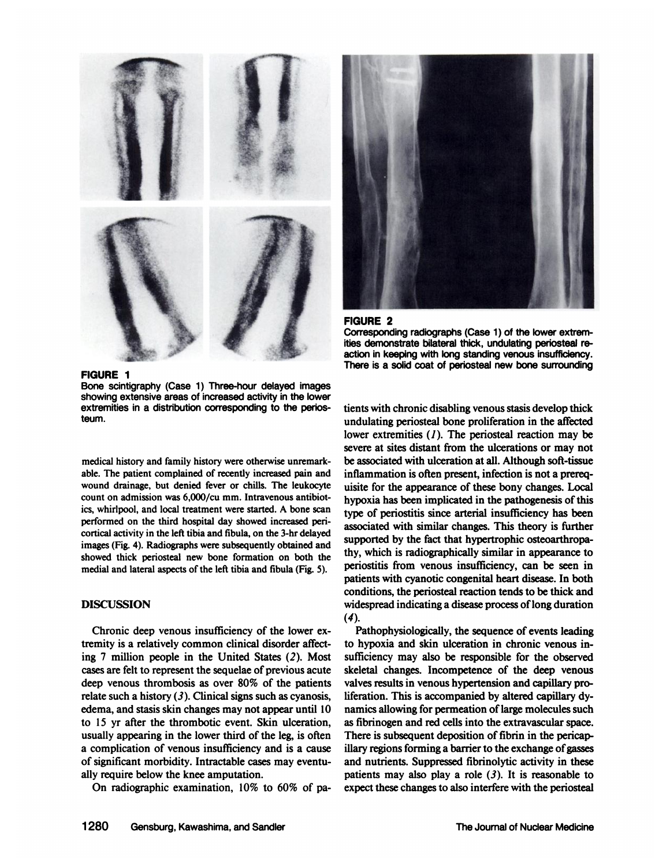





**FIGURE 1** Bone scintigraphy (Case 1) Three-hour delayed images

showing extensive areas of increased activity in the lower extremities in a distribution corresponding to the perios teum.

medical history and family history were otherwise unremark able. The patient complained of recently increased pain and wound drainage, but denied fever or chills. The leukocyte count on admission was 6,000/cu mm. Intravenous antibiot ics, whirlpool, and local treatment were started. A bone scan performed on the third hospital day showed increased pericortical activity in the left tibia and fibula, on the 3-hr delayed images (Fig. 4). Radiographs were subsequently obtained and showed thick periosteal new bone formation on both the medial and lateral aspects of the left tibia and fibula (Fig. 5).

### **DISCUSSION**

Chronic deep venous insufficiency of the lower ex tremity is a relatively common clinical disorder affect ing 7 million people in the United States (2). Most cases are felt to represent the sequelae of previous acute deep venous thrombosis as over  $80\%$  of the patients relate such a history  $(3)$ . Clinical signs such as cyanosis, edema, and stasis skin changes may not appear until 10 to 15 yr after the thrombotic event. Skin ulceration, usually appearing in the lower third of the leg, is often a complication of venous insufficiency and is a cause of significant morbidity. Intractable cases may eventu ally require below the knee amputation.

On radiographie examination, 10% to 60% of pa-

tients with chronic disabling venous stasis develop thick undulating periosteal bone proliferation in the affected lower extremities  $(1)$ . The periosteal reaction may be severe at sites distant from the ulcerations or may not be associated with ulceration at all. Although soft-tissue inflammation is often present, infection is not a prereq uisite for the appearance of these bony changes. Local hypoxia has been implicated in the pathogenesis of this type of periostitis since arterial insufficiency has been associated with similar changes. This theory is further supported by the fact that hypertrophie osteoarthropathy, which is radiographically similar in appearance to periostitis from venous insufficiency, can be seen in patients with cyanotic congenital heart disease. In both conditions, the periosteal reaction tends to be thick and widespread indicating a disease process of long duration *(4).*

Pathophysiologically, the sequence of events leading to hypoxia and skin ulceration in chronic venous insufficiency may also be responsible for the observed skeletal changes. Incompetence of the deep venous valves results in venous hypertension and capillary pro liferation. This is accompanied by altered capillary dy namics allowing for permeation of large molecules such as fibrinogen and red cells into the extravascular space. There is subsequent deposition of fibrin in the pericapillary regions forming a barrier to the exchange of gasses and nutrients. Suppressed fibrinolytic activity in these patients may also play a role  $(3)$ . It is reasonable to expect these changes to also interfere with the periosteal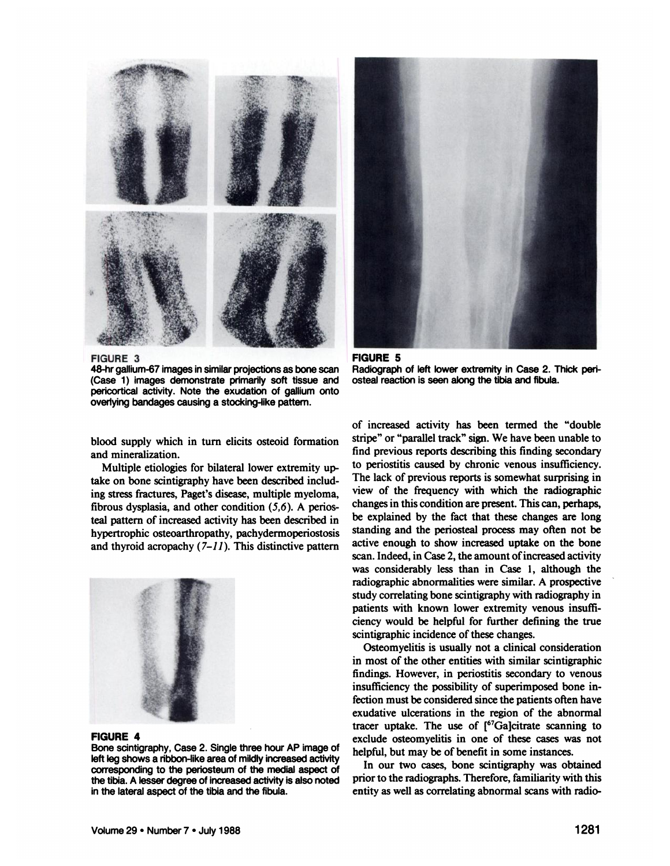

**FIGURE 3** 48-hr gallium-67 images in similar projections as bone scan (Case 1) images demonstrate primarily soft tissue and pericortical activity. Note the exudation of gallium onto overlying bandages causing a stocking-like pattern.



**FIGURE 5** Radiograph of left lower extremity in Case 2. Thick periosteal reaction is seen along the tibia and fibula.

blood supply which in turn elicits osteoid formation and mineralization.

Multiple etiologies for bilateral lower extremity up take on bone scintigraphy have been described includ ing stress fractures, Paget's disease, multiple myeloma, fibrous dysplasia, and other condition  $(5,6)$ . A periosteal pattern of increased activity has been described in hypertrophie osteoarthropathy, pachydermoperiostosis and thyroid acropachy  $(7-11)$ . This distinctive pattern



#### **FIGURE 4**

Bone scintigraphy, Case 2. Single three hour AP image of left leg shows a ribbon-like area of mildly increased activity corresponding to the periosteum of the medial aspect of the tibia. A lesser degree of increased activity is also noted in the lateral aspect of the tibia and the fibula.

of increased activity has been termed the "double stripe" or "parallel track" sign. We have been unable to find previous reports describing this finding secondary to periostitis caused by chronic venous insufficiency. The lack of previous reports is somewhat surprising in view of the frequency with which the radiographie changes in this condition are present. This can, perhaps, be explained by the fact that these changes are long standing and the periosteal process may often not be active enough to show increased uptake on the bone scan. Indeed, in Case 2, the amount of increased activity was considerably less than in Case 1, although the radiographie abnormalities were similar. A prospective study correlating bone scintigraphy with radiography in patients with known lower extremity venous insuffi ciency would be helpful for further defining the true scintigraphic incidence of these changes.

Osteomyelitis is usually not a clinical consideration in most of the other entities with similar scintigraphic findings. However, in periostitis secondary to venous insufficiency the possibility of superimposed bone infection must be considered since the patients often have exudative ulcerations in the region of the abnormal tracer uptake. The use of  $[67]$ Ga]citrate scanning to exclude osteomyelitis in one of these cases was not helpful, but may be of benefit in some instances.

In our two cases, bone scintigraphy was obtained prior to the radiographs. Therefore, familiarity with this entity as well as correlating abnormal scans with radio